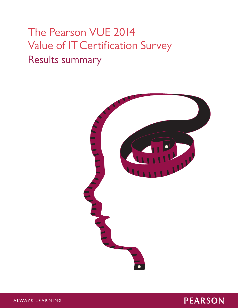# The Pearson VUE 2014 Value of IT Certification Survey Results summary





ALWAYS LEARNING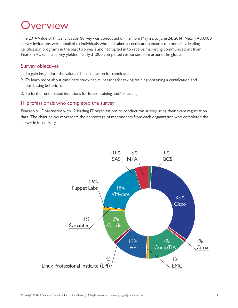### Overview

The 2014 Value of IT Certification Survey was conducted online from May 22 to June 24, 2014. Nearly 400,000 survey invitations were emailed to individuals who had taken a certification exam from one of 12 leading certification programs in the past two years and had opted in to receive marketing communications from Pearson VUE. The survey yielded nearly 31,000 completed responses from around the globe.

### Survey objectives

- 1. To gain insight into the value of IT certification for candidates.
- 2. To learn more about candidate study habits, reasons for taking training/obtaining a certification and purchasing behaviors.
- 3. To further understand intentions for future training and/or testing.

### IT professionals who completed the survey

Pearson VUE partnered with 12 leading IT organizations to conduct this survey using their exam registration data. The chart below represents the percentage of respondents from each organization who completed the survey in its entirety.

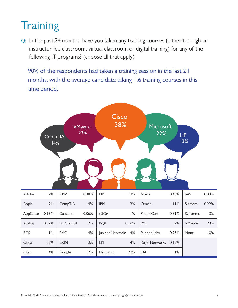# **Training**

**Q:** In the past 24 months, have you taken any training courses (either through an instructor-led classroom, virtual classroom or digital training) for any of the following IT programs? (choose all that apply)

90% of the respondents had taken a training session in the last 24 months, with the average candidate taking 1.6 training courses in this time period.

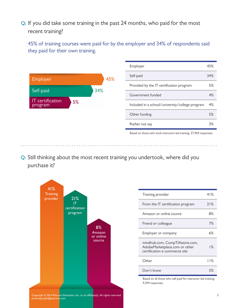**Q:** If you did take some training in the past 24 months, who paid for the most recent training?

45% of training courses were paid for by the employer and 34% of respondents said they paid for their own training.



**Q:** Still thinking about the most recent training you undertook, where did you purchase it?



| Training provider                                                                                | 41% |
|--------------------------------------------------------------------------------------------------|-----|
| From the IT certification program                                                                | 71% |
| Amazon or online source                                                                          | 8%  |
| Friend or colleague                                                                              | 7%  |
| Employer or company                                                                              | 6%  |
| mindhub.com, CompTlAstore.com,<br>AdobeMarketplace.com or other<br>certification e-commerce site | % ا |
| Other                                                                                            | 11% |
| Don't know                                                                                       | 5%  |

Based on all those who self-paid for instructor-led training: 9,394 responses.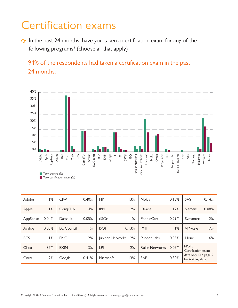# Certification exams

**Q:** In the past 24 months, have you taken a certification exam for any of the following programs? (choose all that apply)

94% of the respondents had taken a certification exam in the past 24 months.



| <b>Adobe</b> | Apple<br>AppSense<br>Took training (%) | Avaloq<br>BCS<br>Cisco<br>Citrix<br>$rac{N}{C}$<br>Took certification exam (%) | CompTIA<br>Dassault<br>EC Council | EMC<br><b>EXIN</b><br>Google<br>全<br>$\overline{B}$                                                          | $($ ISC $)$ 2<br><b>ISQI</b><br>Juniper Networks | Linux Prof. Institute<br>Microsoft<br>Nokia<br>Oracle<br>PeopleCert<br>혼 | Puppet Labs<br>Ruijie Networks | SAP<br>SAS<br>Siemens<br>Symantec<br>VMware<br>None |
|--------------|----------------------------------------|--------------------------------------------------------------------------------|-----------------------------------|--------------------------------------------------------------------------------------------------------------|--------------------------------------------------|--------------------------------------------------------------------------|--------------------------------|-----------------------------------------------------|
| Adobe        | $1\%$                                  | <b>CIW</b>                                                                     | 0.40%                             | HP                                                                                                           | 13%                                              | Nokia                                                                    | 0.13%                          | SAS<br>0.14%                                        |
| Apple        | 1%                                     | CompTIA                                                                        | 14%                               | <b>IBM</b>                                                                                                   | 2%                                               | Oracle                                                                   | 12%                            | 0.08%<br>Siemens                                    |
| AppSense     | 0.04%                                  | Dassault                                                                       | 0.05%                             | $(ISC)^2$                                                                                                    | $1\%$                                            | PeopleCert                                                               | 0.29%                          | 2%<br>Symantec                                      |
| Avaloq       | 0.03%                                  | <b>EC Council</b>                                                              | 1%                                | <b>ISQI</b>                                                                                                  | 0.13%                                            | PMI                                                                      | 1%                             | 17%<br><b>VMware</b>                                |
| <b>BCS</b>   | 1%                                     | <b>EMC</b>                                                                     | 2%                                | Juniper Networks                                                                                             | 2%                                               | Puppet Labs                                                              | 0.05%                          | $6\%$<br>None                                       |
| Cisco        | 37%                                    | <b>EXIN</b>                                                                    | 3%                                | LPI                                                                                                          | 2%                                               | Ruijie Networks                                                          | 0.05%                          | NOTE:<br>Certification exam                         |
| Citrix       | 2%                                     | Google                                                                         | 0.41%                             | Microsoft                                                                                                    | 13%                                              | SAP                                                                      | 0.30%                          | data only. See page 2<br>for training data.         |
|              |                                        |                                                                                |                                   | Copyright @ 2014 Pearson Education, Inc. or its affiliate(s). All rights reserved. pvuecopyright@pearson.com |                                                  |                                                                          |                                | $\overline{4}$                                      |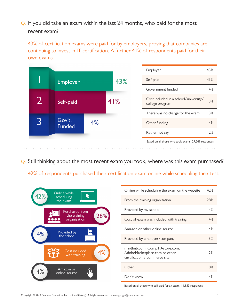**Q:** If you did take an exam within the last 24 months, who paid for the most recent exam?

43% of certification exams were paid for by employers, proving that companies are continuing to invest in IT certification. A further 41% of respondents paid for their own exams.

|  |                         |    |                   | Employer                                                 | 43% |
|--|-------------------------|----|-------------------|----------------------------------------------------------|-----|
|  | 43%<br>Employer         |    |                   | Self-paid                                                | 41% |
|  |                         |    | Government funded | 4%                                                       |     |
|  | Self-paid               |    | 41%               | Cost included in a school/university/<br>college program | 3%  |
|  |                         |    |                   | There was no charge for the exam                         | 3%  |
|  | Gov't.<br><b>Funded</b> | 4% |                   | Other funding                                            | 4%  |
|  |                         |    |                   | Rather not say                                           | 2%  |
|  |                         |    |                   | Based on all those who took exams: 29,249 responses.     |     |

**Q:** Still thinking about the most recent exam you took, where was this exam purchased?

42% of respondents purchased their certification exam online while scheduling their test.



| Online while scheduling the exam on the website                                                  | 42% |
|--------------------------------------------------------------------------------------------------|-----|
| From the training organization                                                                   | 28% |
| Provided by my school                                                                            | 4%  |
| Cost of exam was included with training                                                          | 4%  |
| Amazon or other online source                                                                    | 4%  |
| Provided by employer/company                                                                     | 3%  |
| mindhub.com, CompTIAstore.com,<br>AdobeMarketplace.com or other<br>certification e-commerce site | 2%  |
| Other                                                                                            | 8%  |
| Don't know                                                                                       | 4%  |

Based on all those who self-paid for an exam: 11,953 responses.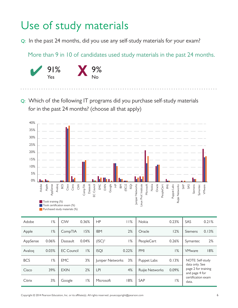# Use of study materials

**Q:** In the past 24 months, did you use any self-study materials for your exam?

More than 9 in 10 of candidates used study materials in the past 24 months.



**Q:** Which of the following IT programs did you purchase self-study materials for in the past 24 months? (choose all that apply)



| Adobe      | Apple<br>AppSense<br>Avaloq<br>Took training (%) | BCS<br>Cisco<br>Citrix<br>$rac{8}{\sqrt{2}}$<br>CompTIA<br>Took certification exam (%)<br>Purchased study materials (%) | Dassault<br>Council<br>EMC<br>EXIN<br>Google<br>全<br>$\mathbb{E}$<br>5C                                      | (ISC)2<br><b>ISQI</b> | Juniper Networks<br>Linux Prof. Institute<br>Microsoft<br>Nokia<br>Oracle<br>PeopleCert | Puppet Labs<br>Ruijie Networks<br>$\overline{\Sigma}$ | SAP<br>SAS<br>Siemens<br>Symantec<br>VMware |
|------------|--------------------------------------------------|-------------------------------------------------------------------------------------------------------------------------|--------------------------------------------------------------------------------------------------------------|-----------------------|-----------------------------------------------------------------------------------------|-------------------------------------------------------|---------------------------------------------|
| Adobe      | 1%                                               | <b>CIW</b><br>0.36%                                                                                                     | <b>HP</b>                                                                                                    | 11%                   | Nokia                                                                                   | 0.23%                                                 | SAS<br>0.21%                                |
| Apple      | $1\%$                                            | 15%<br>CompTIA                                                                                                          | <b>IBM</b>                                                                                                   | 2%                    | Oracle                                                                                  | 12%                                                   | 0.13%<br>Siemens                            |
| AppSense   | 0.06%                                            | 0.04%<br>Dassault                                                                                                       | $(ISC)^2$                                                                                                    | 1%                    | PeopleCert                                                                              | 0.26%                                                 | 2%<br>Symantec                              |
| Avalog     | 0.03%                                            | 1%<br><b>EC Council</b>                                                                                                 | <b>ISQI</b>                                                                                                  | 0.22%                 | PMI                                                                                     | 1%                                                    | 18%<br><b>VMware</b>                        |
| <b>BCS</b> | 1%                                               | <b>EMC</b><br>3%                                                                                                        | Juniper Networks                                                                                             | 3%                    | Puppet Labs                                                                             | 0.13%                                                 | NOTE: Self-study<br>data only. See          |
| Cisco      | 39%                                              | 2%<br><b>EXIN</b>                                                                                                       | <b>LPI</b>                                                                                                   | 4%                    | Ruijie Networks                                                                         | 0.09%                                                 | page 2 for training<br>and page 4 for       |
| Citrix     | 3%                                               | 1%<br>Google                                                                                                            | Microsoft                                                                                                    | 18%                   | SAP                                                                                     | 1%                                                    | certification exam<br>data.                 |
|            |                                                  |                                                                                                                         | Copyright @ 2014 Pearson Education, Inc. or its affiliate(s). All rights reserved. pvuecopyright@pearson.com |                       |                                                                                         |                                                       | 6                                           |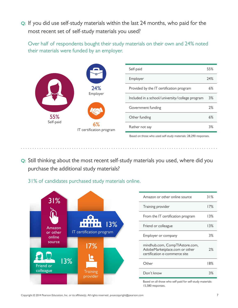**Q:** If you did use self-study materials within the last 24 months, who paid for the most recent set of self-study materials you used?

Over half of respondents bought their study materials on their own and 24% noted their materials were funded by an employer.

|                  |                                | Self-paid                                       | 55% |
|------------------|--------------------------------|-------------------------------------------------|-----|
|                  |                                | Employer                                        | 24% |
|                  | 24%                            | Provided by the IT certification program        | 6%  |
|                  | Employer                       | Included in a school/university/college program | 3%  |
|                  |                                | Government funding                              | 2%  |
| 55%<br>Self-paid |                                | Other funding                                   | 6%  |
|                  | 6%<br>IT certification program | Rather not say                                  | 3%  |
|                  |                                |                                                 |     |

Based on those who used self-study materials: 28,290 responses.

- **Q:** Still thinking about the most recent self-study materials you used, where did you purchase the additional study materials?
	- 31% of candidates purchased study materials online.

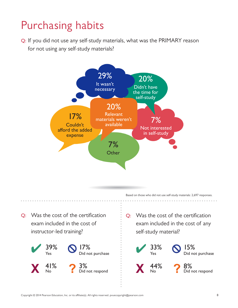# Purchasing habits

**Q:** If you did not use any self-study materials, what was the PRIMARY reason for not using any self-study materials?



Based on those who did not use self-study materials: 2,697 responses.

**Q:** Was the cost of the certification exam included in the cost of instructor-led training?



**Q:** Was the cost of the certification exam included in the cost of any self-study material?

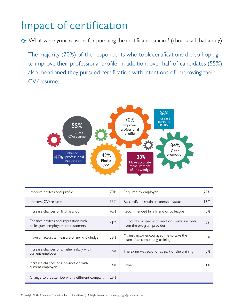## Impact of certification

**Q:** What were your reasons for pursuing the certification exam? (choose all that apply)

The majority (70%) of the respondents who took certifications did so hoping to improve their professional profile. In addition, over half of candidates (55%) also mentioned they pursued certification with intentions of improving their CV/resume.



| Improve professional profile                                                | 70% | Required by employer                                                        | 29%   |
|-----------------------------------------------------------------------------|-----|-----------------------------------------------------------------------------|-------|
| Improve CV/resume                                                           | 55% | Re-certify or retain partnership status                                     | 16%   |
| Increase chances of finding a job                                           | 42% | Recommended by a friend or colleague                                        | 8%    |
| Enhance professional reputation with<br>colleagues, employers, or customers | 41% | Discounts or special promotions were available<br>from the program provider | 7%    |
| Have an accurate measure of my knowledge                                    | 38% | My instructor encouraged me to take the<br>exam after completing training   | 5%    |
| Increase chances of a higher salary with<br>current employer                | 36% | The exam was paid for as part of the training                               | 5%    |
| Increase chances of a promotion with<br>current employer                    | 34% | Other                                                                       | $1\%$ |
| Change to a better job with a different company                             | 29% |                                                                             |       |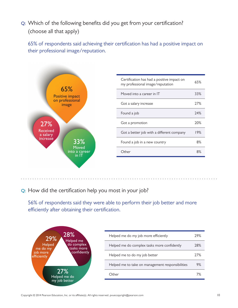**Q:** Which of the following benefits did you get from your certification? (choose all that apply)

65% of respondents said achieving their certification has had a positive impact on their professional image/reputation.



**Q:** How did the certification help you most in your job?

56% of respondents said they were able to perform their job better and more efficiently after obtaining their certification.

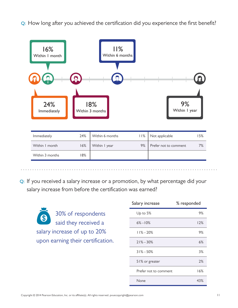**Q:** How long after you achieved the certification did you experience the first benefit?



**Q:** If you received a salary increase or a promotion, by what percentage did your salary increase from before the certification was earned?

30% of respondents  $\mathbf{3}$ said they received a salary increase of up to 20% upon earning their certification.

| Salary increase       | % responded |
|-----------------------|-------------|
| Up to $5%$            | 9%          |
| $6\% - 10\%$          | 12%         |
| $11\% - 20\%$         | 9%          |
| $21\% - 30\%$         | 6%          |
| $31\% - 50\%$         | 3%          |
| 51% or greater        | 2%          |
| Prefer not to comment | 16%         |
| None                  | 43%         |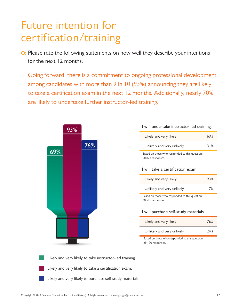## Future intention for certification/training

**Q:** Please rate the following statements on how well they describe your intentions for the next 12 months.

Going forward, there is a commitment to ongoing professional development among candidates with more than 9 in 10 (93%) announcing they are likely to take a certification exam in the next 12 months. Additionally, nearly 70% are likely to undertake further instructor-led training.



#### **I will undertake instructor-led training.**

| Likely and very likely                                              | 69% |
|---------------------------------------------------------------------|-----|
| Unlikely and very unlikely                                          | 31% |
| Based on those who responded to this question:<br>28,823 responses. |     |
| l will take a certification exam.                                   |     |

| Likely and very likely     | 93% |
|----------------------------|-----|
| Unlikely and very unlikely | 7%  |

Based on those who responded to this question: 30,515 responses.

#### **I will purchase self-study materials.**

| Likely and very likely     | 76% |
|----------------------------|-----|
| Unlikely and very unlikely | 24% |

Based on those who responded to this question: 29,170 responses.

Likely and very likely to take instructor-led training.

- Likely and very likely to take a certification exam.
- Likely and very likely to purchase self-study materials.